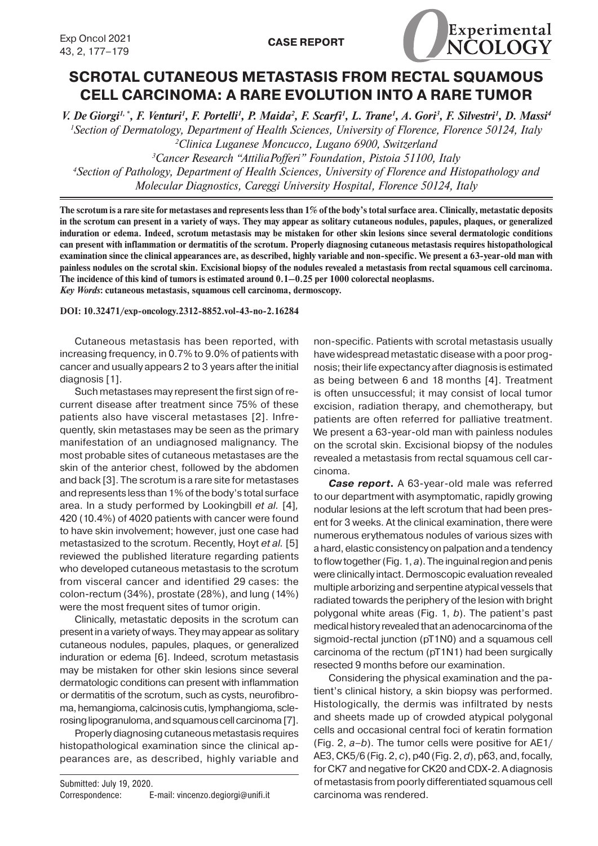

## **SCROTAL CUTANEOUS METASTASIS FROM RECTAL SQUAMOUS CELL CARCINOMA: A RARE EVOLUTION INTO A RARE TUMOR**

*V. De Giorgi<sup>1,\*</sup>, F. Venturi<sup>1</sup>, F. Portelli<sup>1</sup>, P. Maida<sup>2</sup>, F. Scarfi<sup>1</sup>, L. Trane<sup>1</sup>, A. Gori<sup>3</sup>, F. Silvestri<sup>1</sup>, D. Massi<sup>4</sup> Section of Dermatology, Department of Health Sciences, University of Florence, Florence 50124, Italy Clinica Luganese Moncucco, Lugano 6900, Switzerland Cancer Research "AttiliaPofferi" Foundation, Pistoia 51100, Italy Section of Pathology, Department of Health Sciences, University of Florence and Histopathology and Molecular Diagnostics, Careggi University Hospital, Florence 50124, Italy*

**The scrotum is a rare site for metastases and represents less than 1% of the body's total surface area. Clinically, metastatic deposits in the scrotum can present in a variety of ways. They may appear as solitary cutaneous nodules, papules, plaques, or generalized induration or edema. Indeed, scrotum metastasis may be mistaken for other skin lesions since several dermatologic conditions can present with inflammation or dermatitis of the scrotum. Properly diagnosing cutaneous metastasis requires histopathological examination since the clinical appearances are, as described, highly variable and non-specific. We present a 63-year-old man with painless nodules on the scrotal skin. Excisional biopsy of the nodules revealed a metastasis from rectal squamous cell carcinoma. The incidence of this kind of tumors is estimated around 0.1–0.25 per 1000 colorectal neoplasms.** *Key Words***: cutaneous metastasis, squamous cell carcinoma, dermoscopy.**

**DOI: 10.32471/exp-oncology.2312-8852.vol-43-no-2.16284**

Cutaneous metastasis has been reported, with increasing frequency, in 0.7% to 9.0% of patients with cancer and usually appears 2 to 3 years after the initial diagnosis [1].

Such metastases may represent the first sign of recurrent disease after treatment since 75% of these patients also have visceral metastases [2]. Infrequently, skin metastases may be seen as the primary manifestation of an undiagnosed malignancy. The most probable sites of cutaneous metastases are the skin of the anterior chest, followed by the abdomen and back [3]. The scrotum is a rare site for metastases and represents less than 1% of the body's total surface area. In a study performed by Lookingbill *et al.* [4]*,*  420 (10.4%) of 4020 patients with cancer were found to have skin involvement; however, just one case had metastasized to the scrotum. Recently, Hoyt *et al.* [5] reviewed the published literature regarding patients who developed cutaneous metastasis to the scrotum from visceral cancer and identified 29 cases: the colon-rectum (34%), prostate (28%), and lung (14%) were the most frequent sites of tumor origin.

Clinically, metastatic deposits in the scrotum can present in a variety of ways. They may appear as solitary cutaneous nodules, papules, plaques, or generalized induration or edema [6]. Indeed, scrotum metastasis may be mistaken for other skin lesions since several dermatologic conditions can present with inflammation or dermatitis of the scrotum, such as cysts, neurofibroma, hemangioma, calcinosis cutis, lymphangioma, sclerosing lipogranuloma, and squamous cell carcinoma[7].

Properly diagnosing cutaneous metastasis requires histopathological examination since the clinical appearances are, as described, highly variable and

Submitted: July 19, 2020. Correspondence: E-mail: vincenzo.degiorgi@unifi.it non-specific. Patients with scrotal metastasis usually have widespread metastatic disease with a poor prognosis; their life expectancy after diagnosis is estimated as being between 6 and 18 months [4]. Treatment is often unsuccessful; it may consist of local tumor excision, radiation therapy, and chemotherapy, but patients are often referred for palliative treatment. We present a 63-year-old man with painless nodules on the scrotal skin. Excisional biopsy of the nodules revealed a metastasis from rectal squamous cell carcinoma.

*Case report***.** A 63-year-old male was referred to our department with asymptomatic, rapidly growing nodular lesions at the left scrotum that had been present for 3 weeks. At the clinical examination, there were numerous erythematous nodules of various sizes with a hard, elastic consistency on palpation and a tendency to flow together (Fig. 1, *a*). The inguinal region and penis were clinically intact. Dermoscopic evaluation revealed multiple arborizing and serpentine atypical vessels that radiated towards the periphery of the lesion with bright polygonal white areas (Fig. 1, *b*). The patient's past medical history revealed that an adenocarcinoma of the sigmoid-rectal junction (pT1N0) and a squamous cell carcinoma of the rectum (pT1N1) had been surgically resected 9 months before our examination.

Considering the physical examination and the patient's clinical history, a skin biopsy was performed. Histologically, the dermis was infiltrated by nests and sheets made up of crowded atypical polygonal cells and occasional central foci of keratin formation (Fig. 2, *a–b*). The tumor cells were positive for AE1/ AE3, CK5/6 (Fig. 2, *c*), p40 (Fig. 2, *d*), p63, and, focally, for CK7 and negative for CK20 and CDX-2. A diagnosis of metastasis from poorly differentiated squamous cell carcinoma was rendered.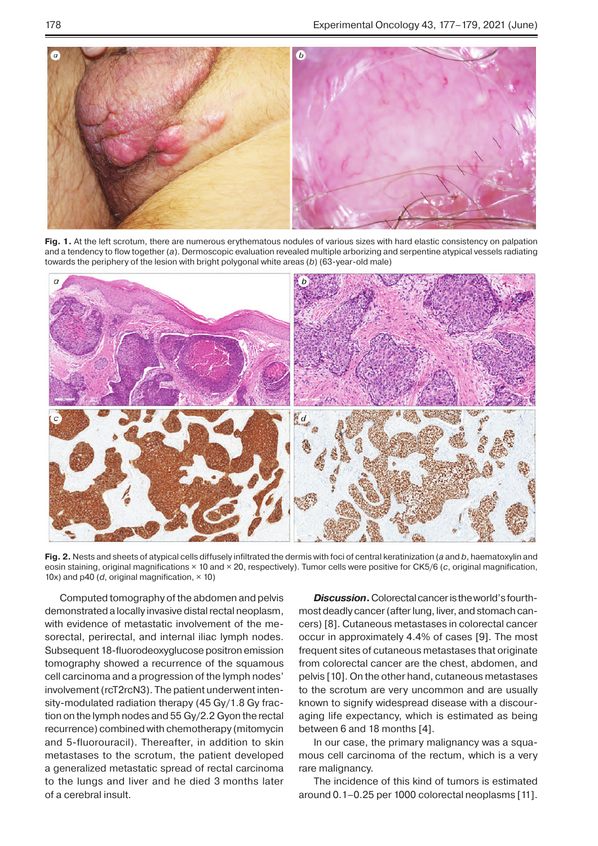

**Fig. 1.** At the left scrotum, there are numerous erythematous nodules of various sizes with hard elastic consistency on palpation and a tendency to flow together (*a*). Dermoscopic evaluation revealed multiple arborizing and serpentine atypical vessels radiating towards the periphery of the lesion with bright polygonal white areas (*b*) (63-year-old male)



**Fig. 2.** Nests and sheets of atypical cells diffusely infiltrated the dermis with foci of central keratinization (*a* and *b*, haematoxylin and eosin staining, original magnifications × 10 and × 20, respectively). Tumor cells were positive for CK5/6 (*c*, original magnification, 10x) and p40 ( $d$ , original magnification,  $\times$  10)

Computed tomography of the abdomen and pelvis demonstrated a locally invasive distal rectal neoplasm, with evidence of metastatic involvement of the mesorectal, perirectal, and internal iliac lymph nodes. Subsequent 18-fluorodeoxyglucose positron emission tomography showed a recurrence of the squamous cell carcinoma and a progression of the lymph nodes' involvement (rcT2rcN3). The patient underwent intensity-modulated radiation therapy (45 Gy/1.8 Gy fraction on the lymph nodes and 55 Gy/2.2 Gyon the rectal recurrence) combined with chemotherapy (mitomycin and 5-fluorouracil). Thereafter, in addition to skin metastases to the scrotum, the patient developed a generalized metastatic spread of rectal carcinoma to the lungs and liver and he died 3 months later of a cerebral insult.

*Discussion***.** Colorectal cancer is the world's fourthmost deadly cancer (after lung, liver, and stomach cancers) [8]. Cutaneous metastases in colorectal cancer occur in approximately 4.4% of cases [9]. The most frequent sites of cutaneous metastases that originate from colorectal cancer are the chest, abdomen, and pelvis [10]. On the other hand, cutaneous metastases to the scrotum are very uncommon and are usually known to signify widespread disease with a discouraging life expectancy, which is estimated as being between 6 and 18 months [4].

In our case, the primary malignancy was a squamous cell carcinoma of the rectum, which is a very rare malignancy.

The incidence of this kind of tumors is estimated around 0.1–0.25 per 1000 colorectal neoplasms [11].